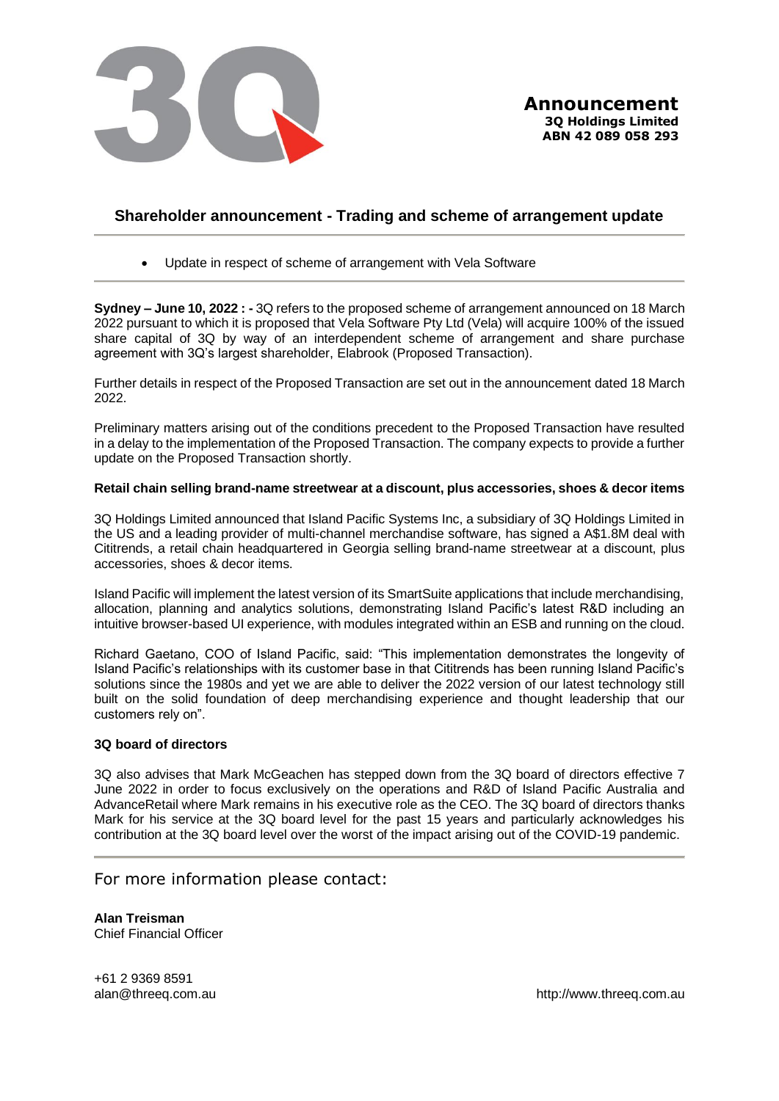

# **Shareholder announcement - Trading and scheme of arrangement update**

• Update in respect of scheme of arrangement with Vela Software

**Sydney – June 10, 2022 : -** 3Q refers to the proposed scheme of arrangement announced on 18 March 2022 pursuant to which it is proposed that Vela Software Pty Ltd (Vela) will acquire 100% of the issued share capital of 3Q by way of an interdependent scheme of arrangement and share purchase agreement with 3Q's largest shareholder, Elabrook (Proposed Transaction).

Further details in respect of the Proposed Transaction are set out in the announcement dated 18 March 2022.

Preliminary matters arising out of the conditions precedent to the Proposed Transaction have resulted in a delay to the implementation of the Proposed Transaction. The company expects to provide a further update on the Proposed Transaction shortly.

### **Retail chain selling brand-name streetwear at a discount, plus accessories, shoes & decor items**

3Q Holdings Limited announced that Island Pacific Systems Inc, a subsidiary of 3Q Holdings Limited in the US and a leading provider of multi-channel merchandise software, has signed a A\$1.8M deal with Cititrends, a retail chain headquartered in Georgia selling brand-name streetwear at a discount, plus accessories, shoes & decor items.

Island Pacific will implement the latest version of its SmartSuite applications that include merchandising, allocation, planning and analytics solutions, demonstrating Island Pacific's latest R&D including an intuitive browser-based UI experience, with modules integrated within an ESB and running on the cloud.

Richard Gaetano, COO of Island Pacific, said: "This implementation demonstrates the longevity of Island Pacific's relationships with its customer base in that Cititrends has been running Island Pacific's solutions since the 1980s and yet we are able to deliver the 2022 version of our latest technology still built on the solid foundation of deep merchandising experience and thought leadership that our customers rely on".

## **3Q board of directors**

3Q also advises that Mark McGeachen has stepped down from the 3Q board of directors effective 7 June 2022 in order to focus exclusively on the operations and R&D of Island Pacific Australia and AdvanceRetail where Mark remains in his executive role as the CEO. The 3Q board of directors thanks Mark for his service at the 3Q board level for the past 15 years and particularly acknowledges his contribution at the 3Q board level over the worst of the impact arising out of the COVID-19 pandemic.

# For more information please contact:

**Alan Treisman** Chief Financial Officer

+61 2 9369 8591